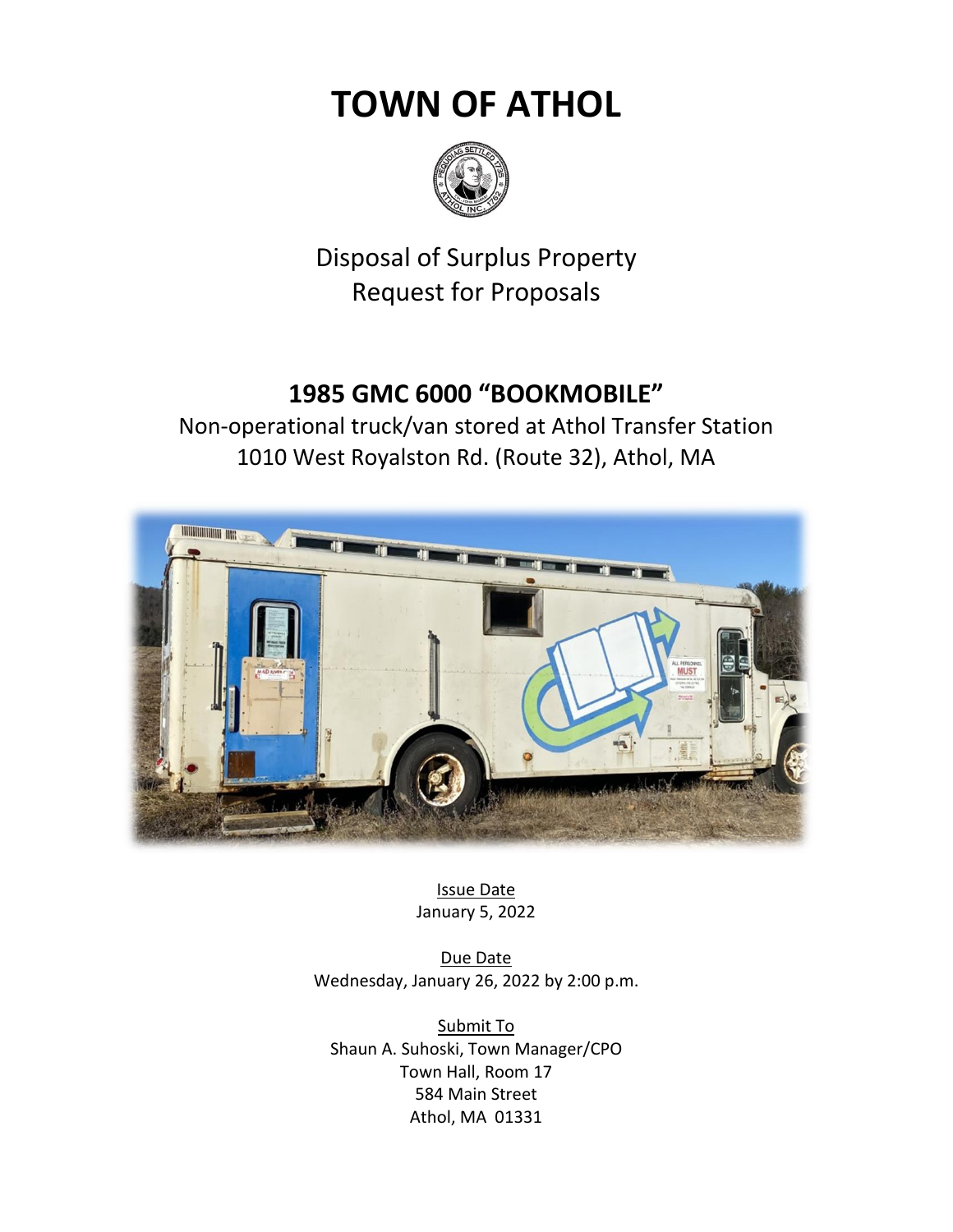# **TOWN OF ATHOL**



Disposal of Surplus Property Request for Proposals

# **1985 GMC 6000 "BOOKMOBILE"**

Non-operational truck/van stored at Athol Transfer Station 1010 West Royalston Rd. (Route 32), Athol, MA



Issue Date January 5, 2022

Due Date Wednesday, January 26, 2022 by 2:00 p.m.

Submit To Shaun A. Suhoski, Town Manager/CPO Town Hall, Room 17 584 Main Street Athol, MA 01331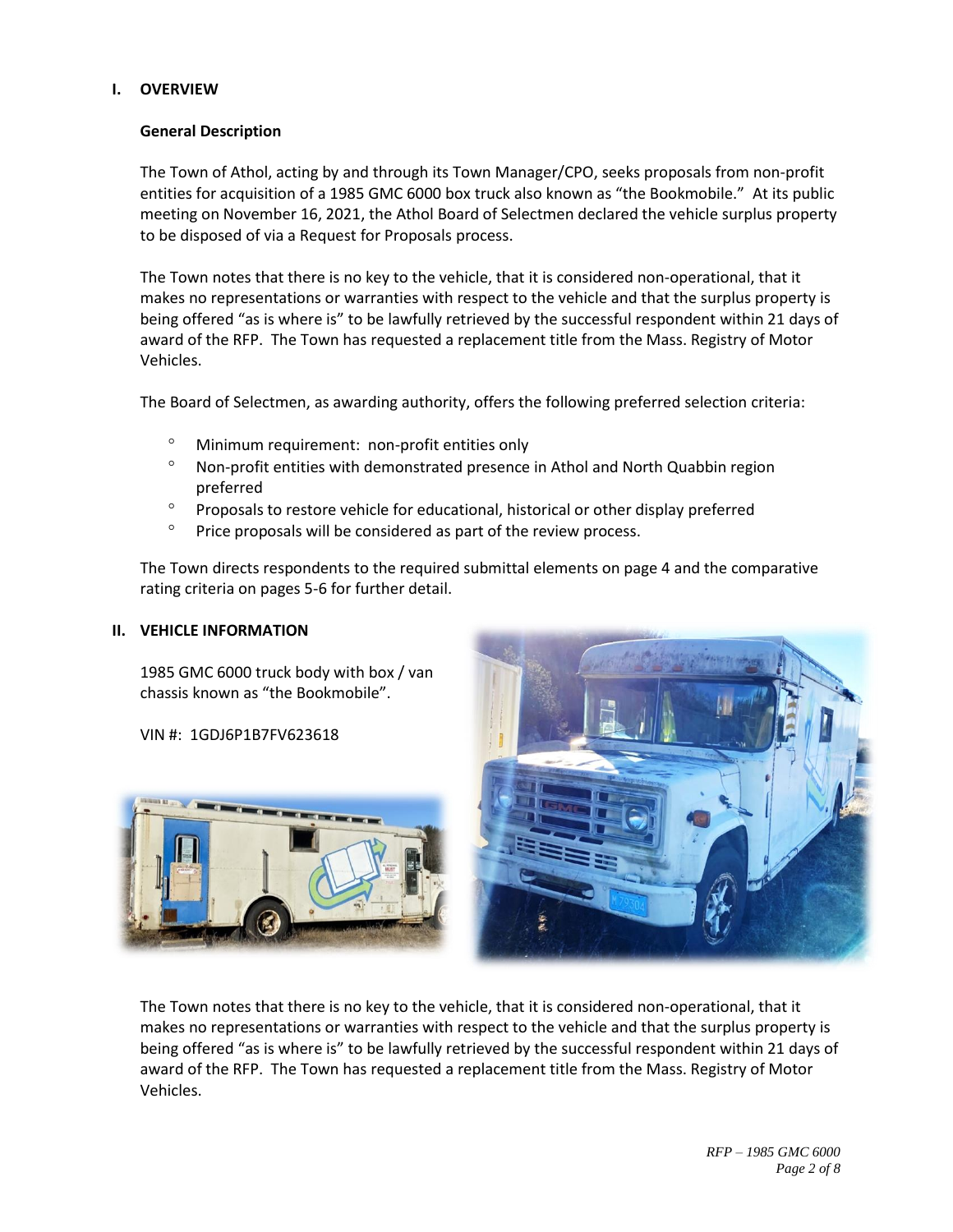# **I. OVERVIEW**

# **General Description**

The Town of Athol, acting by and through its Town Manager/CPO, seeks proposals from non-profit entities for acquisition of a 1985 GMC 6000 box truck also known as "the Bookmobile." At its public meeting on November 16, 2021, the Athol Board of Selectmen declared the vehicle surplus property to be disposed of via a Request for Proposals process.

The Town notes that there is no key to the vehicle, that it is considered non-operational, that it makes no representations or warranties with respect to the vehicle and that the surplus property is being offered "as is where is" to be lawfully retrieved by the successful respondent within 21 days of award of the RFP. The Town has requested a replacement title from the Mass. Registry of Motor Vehicles.

The Board of Selectmen, as awarding authority, offers the following preferred selection criteria:

- <sup>o</sup> Minimum requirement: non-profit entities only
- $\degree$  Non-profit entities with demonstrated presence in Athol and North Quabbin region preferred
- <sup>o</sup> Proposals to restore vehicle for educational, historical or other display preferred
- $\degree$  Price proposals will be considered as part of the review process.

The Town directs respondents to the required submittal elements on page 4 and the comparative rating criteria on pages 5-6 for further detail.

# **II. VEHICLE INFORMATION**

1985 GMC 6000 truck body with box / van chassis known as "the Bookmobile".

VIN #: 1GDJ6P1B7FV623618





The Town notes that there is no key to the vehicle, that it is considered non-operational, that it makes no representations or warranties with respect to the vehicle and that the surplus property is being offered "as is where is" to be lawfully retrieved by the successful respondent within 21 days of award of the RFP. The Town has requested a replacement title from the Mass. Registry of Motor Vehicles.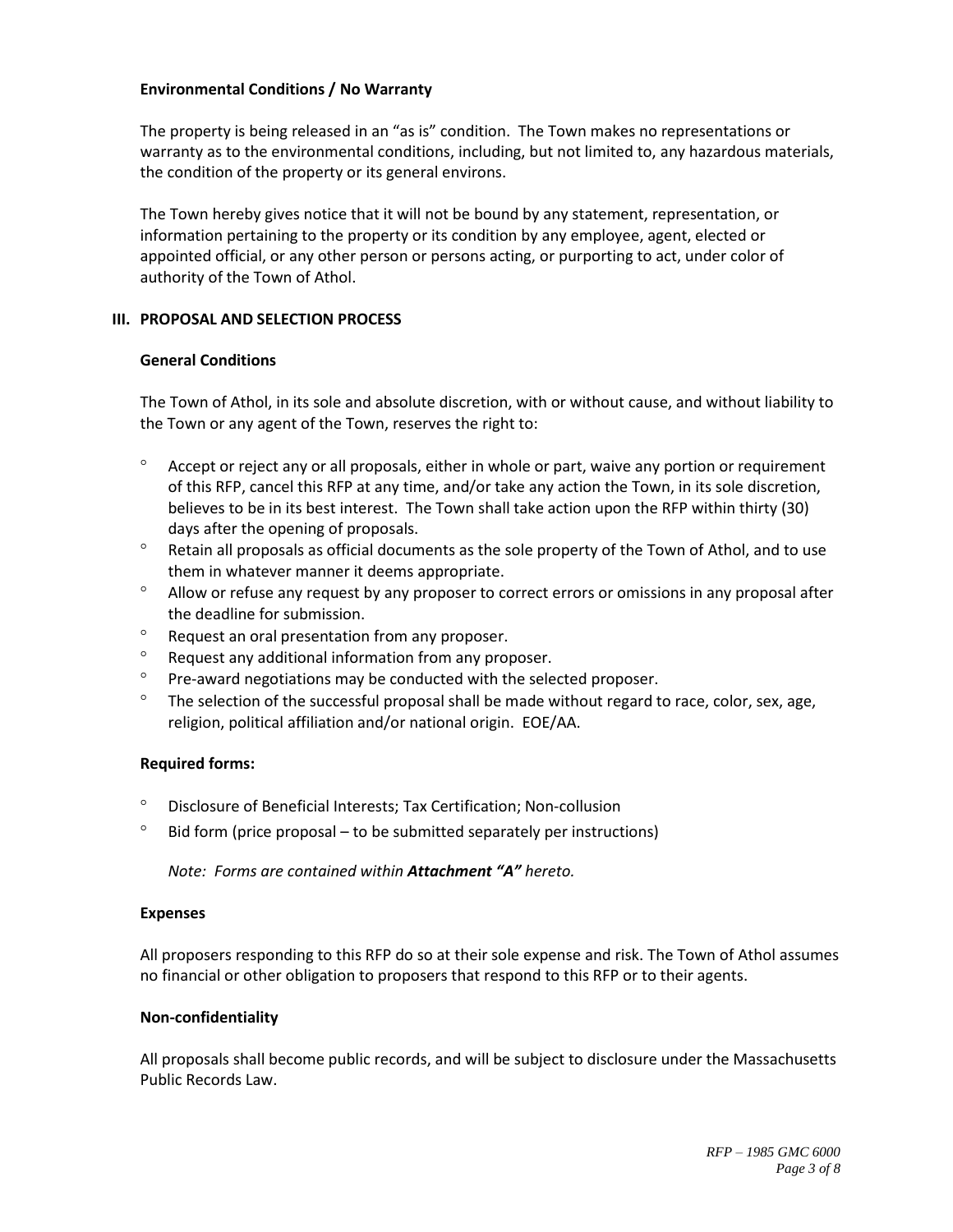### **Environmental Conditions / No Warranty**

The property is being released in an "as is" condition. The Town makes no representations or warranty as to the environmental conditions, including, but not limited to, any hazardous materials, the condition of the property or its general environs.

The Town hereby gives notice that it will not be bound by any statement, representation, or information pertaining to the property or its condition by any employee, agent, elected or appointed official, or any other person or persons acting, or purporting to act, under color of authority of the Town of Athol.

#### **III. PROPOSAL AND SELECTION PROCESS**

#### **General Conditions**

The Town of Athol, in its sole and absolute discretion, with or without cause, and without liability to the Town or any agent of the Town, reserves the right to:

- $\degree$  Accept or reject any or all proposals, either in whole or part, waive any portion or requirement of this RFP, cancel this RFP at any time, and/or take any action the Town, in its sole discretion, believes to be in its best interest. The Town shall take action upon the RFP within thirty (30) days after the opening of proposals.
- <sup>o</sup> Retain all proposals as official documents as the sole property of the Town of Athol, and to use them in whatever manner it deems appropriate.
- <sup>o</sup> Allow or refuse any request by any proposer to correct errors or omissions in any proposal after the deadline for submission.
- $\degree$  Request an oral presentation from any proposer.
- <sup>o</sup> Request any additional information from any proposer.
- $\degree$  Pre-award negotiations may be conducted with the selected proposer.
- $\degree$  The selection of the successful proposal shall be made without regard to race, color, sex, age, religion, political affiliation and/or national origin. EOE/AA.

#### **Required forms:**

- Disclosure of Beneficial Interests; Tax Certification; Non-collusion
- $\degree$  Bid form (price proposal to be submitted separately per instructions)

*Note: Forms are contained within Attachment "A" hereto.* 

#### **Expenses**

All proposers responding to this RFP do so at their sole expense and risk. The Town of Athol assumes no financial or other obligation to proposers that respond to this RFP or to their agents.

#### **Non-confidentiality**

All proposals shall become public records, and will be subject to disclosure under the Massachusetts Public Records Law.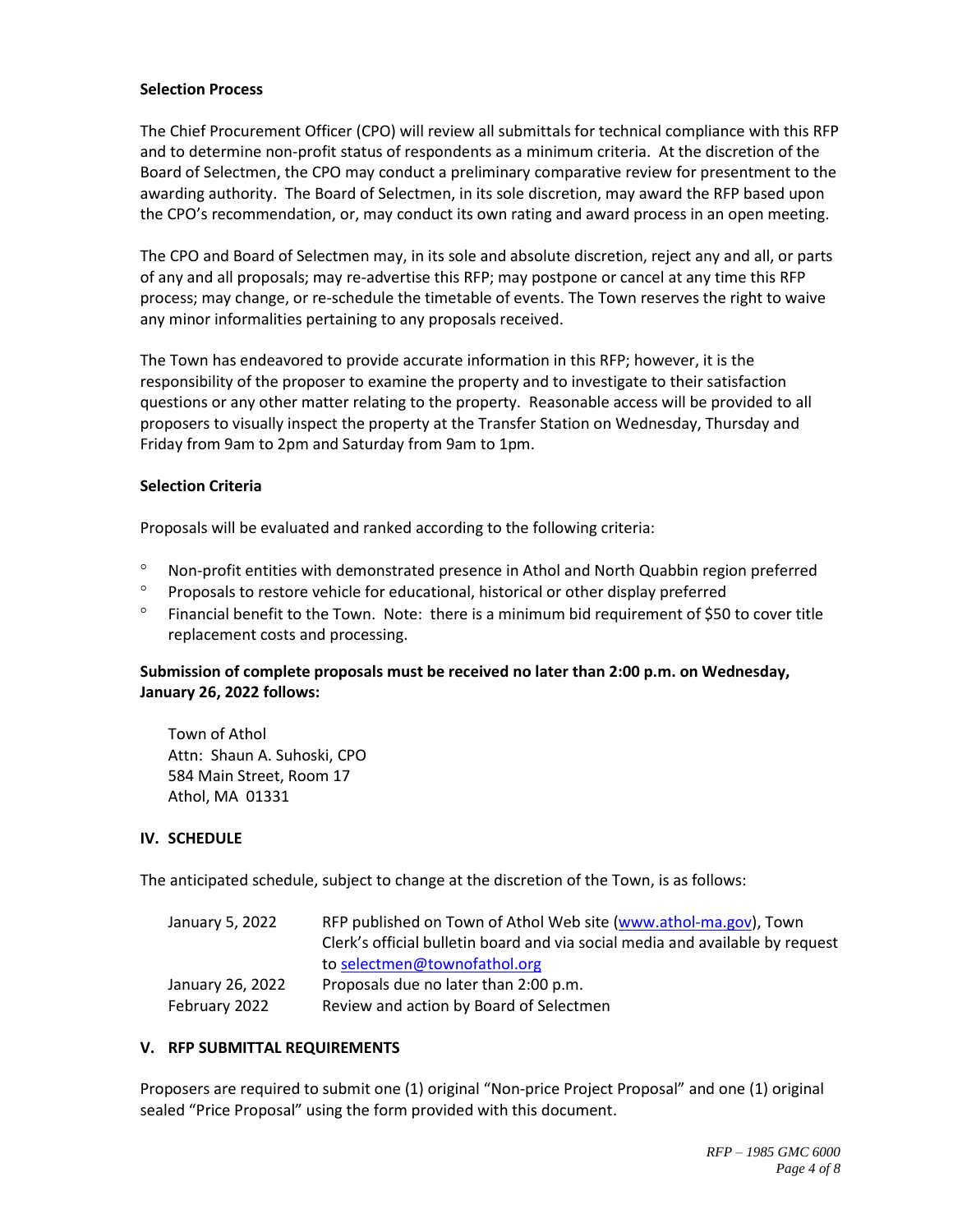## **Selection Process**

The Chief Procurement Officer (CPO) will review all submittals for technical compliance with this RFP and to determine non-profit status of respondents as a minimum criteria. At the discretion of the Board of Selectmen, the CPO may conduct a preliminary comparative review for presentment to the awarding authority. The Board of Selectmen, in its sole discretion, may award the RFP based upon the CPO's recommendation, or, may conduct its own rating and award process in an open meeting.

The CPO and Board of Selectmen may, in its sole and absolute discretion, reject any and all, or parts of any and all proposals; may re-advertise this RFP; may postpone or cancel at any time this RFP process; may change, or re-schedule the timetable of events. The Town reserves the right to waive any minor informalities pertaining to any proposals received.

The Town has endeavored to provide accurate information in this RFP; however, it is the responsibility of the proposer to examine the property and to investigate to their satisfaction questions or any other matter relating to the property. Reasonable access will be provided to all proposers to visually inspect the property at the Transfer Station on Wednesday, Thursday and Friday from 9am to 2pm and Saturday from 9am to 1pm.

#### **Selection Criteria**

Proposals will be evaluated and ranked according to the following criteria:

- Non-profit entities with demonstrated presence in Athol and North Quabbin region preferred
- <sup>o</sup> Proposals to restore vehicle for educational, historical or other display preferred
- $\degree$  Financial benefit to the Town. Note: there is a minimum bid requirement of \$50 to cover title replacement costs and processing.

# **Submission of complete proposals must be received no later than 2:00 p.m. on Wednesday, January 26, 2022 follows:**

Town of Athol Attn: Shaun A. Suhoski, CPO 584 Main Street, Room 17 Athol, MA 01331

# **IV. SCHEDULE**

The anticipated schedule, subject to change at the discretion of the Town, is as follows:

| January 5, 2022  | RFP published on Town of Athol Web site (www.athol-ma.gov), Town              |
|------------------|-------------------------------------------------------------------------------|
|                  | Clerk's official bulletin board and via social media and available by request |
|                  | to selectmen@townofathol.org                                                  |
| January 26, 2022 | Proposals due no later than 2:00 p.m.                                         |
| February 2022    | Review and action by Board of Selectmen                                       |

#### **V. RFP SUBMITTAL REQUIREMENTS**

Proposers are required to submit one (1) original "Non-price Project Proposal" and one (1) original sealed "Price Proposal" using the form provided with this document.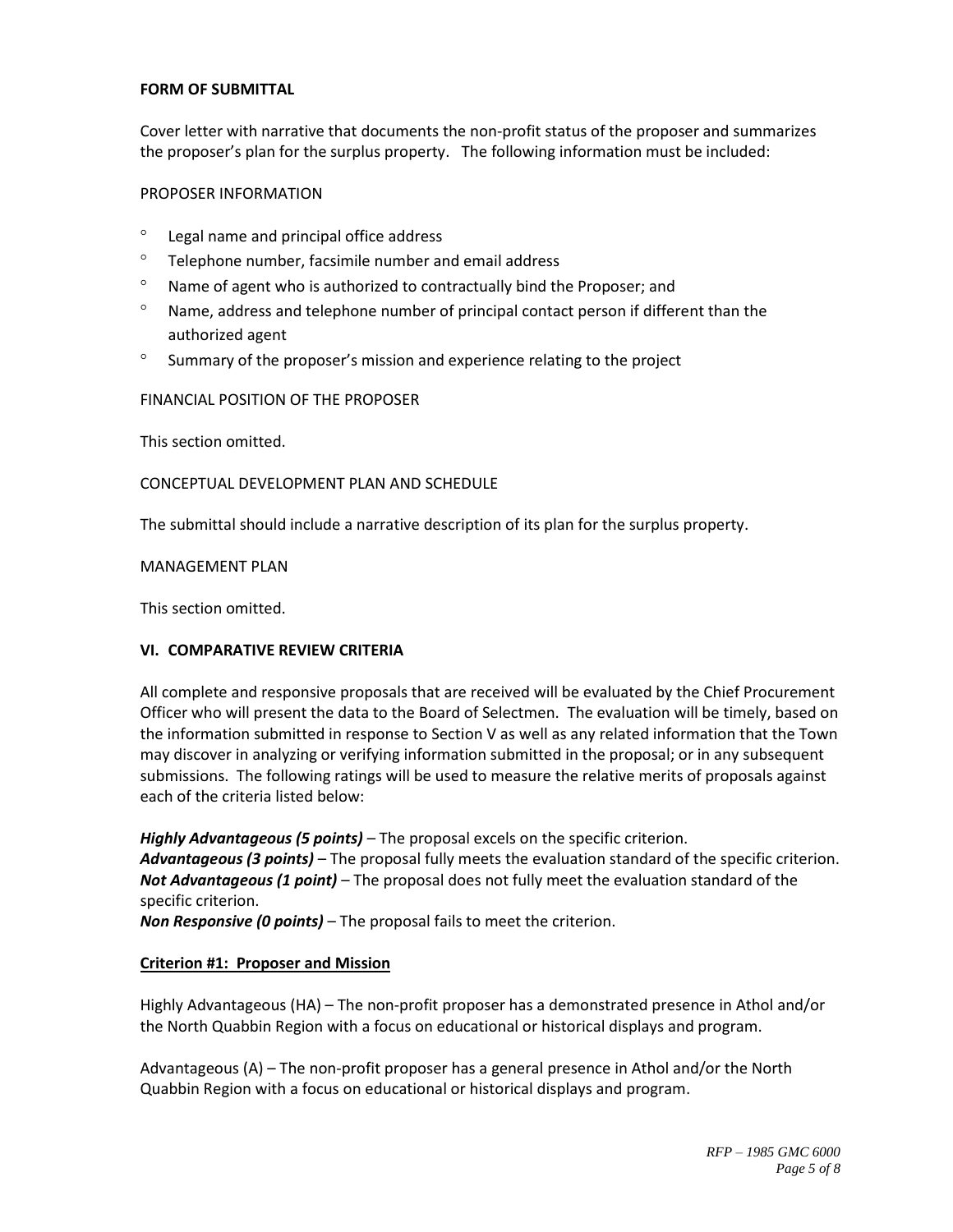# **FORM OF SUBMITTAL**

Cover letter with narrative that documents the non-profit status of the proposer and summarizes the proposer's plan for the surplus property. The following information must be included:

#### PROPOSER INFORMATION

- Legal name and principal office address
- $\degree$  Telephone number, facsimile number and email address
- $\degree$  Name of agent who is authorized to contractually bind the Proposer; and
- $\degree$  Name, address and telephone number of principal contact person if different than the authorized agent
- $\degree$  Summary of the proposer's mission and experience relating to the project

FINANCIAL POSITION OF THE PROPOSER

This section omitted.

# CONCEPTUAL DEVELOPMENT PLAN AND SCHEDULE

The submittal should include a narrative description of its plan for the surplus property.

MANAGEMENT PLAN

This section omitted.

# **VI. COMPARATIVE REVIEW CRITERIA**

All complete and responsive proposals that are received will be evaluated by the Chief Procurement Officer who will present the data to the Board of Selectmen. The evaluation will be timely, based on the information submitted in response to Section V as well as any related information that the Town may discover in analyzing or verifying information submitted in the proposal; or in any subsequent submissions. The following ratings will be used to measure the relative merits of proposals against each of the criteria listed below:

*Highly Advantageous (5 points) –* The proposal excels on the specific criterion. *Advantageous (3 points)* – The proposal fully meets the evaluation standard of the specific criterion. *Not Advantageous (1 point)* – The proposal does not fully meet the evaluation standard of the specific criterion.

*Non Responsive (0 points)* – The proposal fails to meet the criterion.

# **Criterion #1: Proposer and Mission**

Highly Advantageous (HA) – The non-profit proposer has a demonstrated presence in Athol and/or the North Quabbin Region with a focus on educational or historical displays and program.

Advantageous (A) – The non-profit proposer has a general presence in Athol and/or the North Quabbin Region with a focus on educational or historical displays and program.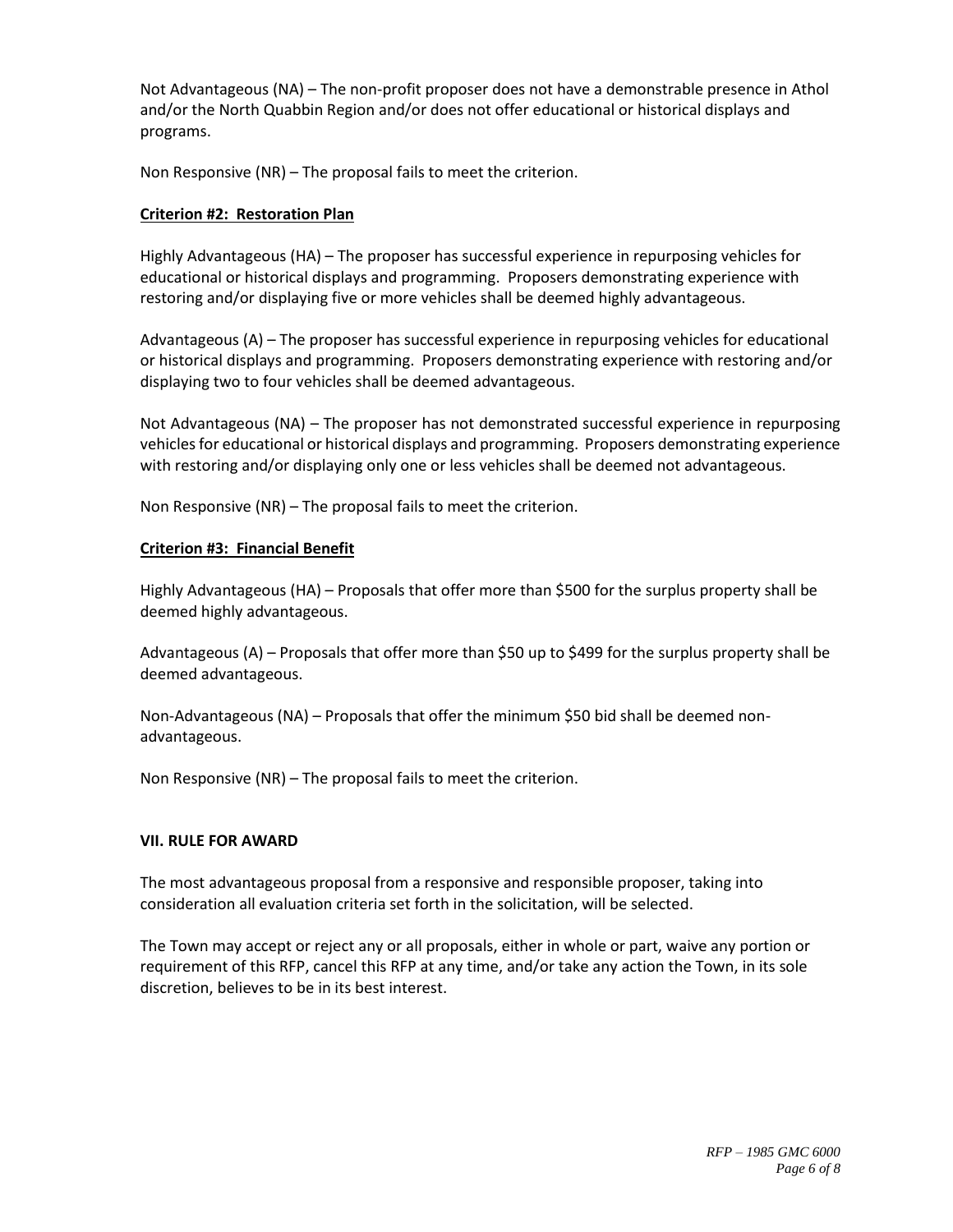Not Advantageous (NA) – The non-profit proposer does not have a demonstrable presence in Athol and/or the North Quabbin Region and/or does not offer educational or historical displays and programs.

Non Responsive (NR) – The proposal fails to meet the criterion.

# **Criterion #2: Restoration Plan**

Highly Advantageous (HA) – The proposer has successful experience in repurposing vehicles for educational or historical displays and programming. Proposers demonstrating experience with restoring and/or displaying five or more vehicles shall be deemed highly advantageous.

Advantageous (A) – The proposer has successful experience in repurposing vehicles for educational or historical displays and programming. Proposers demonstrating experience with restoring and/or displaying two to four vehicles shall be deemed advantageous.

Not Advantageous (NA) – The proposer has not demonstrated successful experience in repurposing vehicles for educational or historical displays and programming. Proposers demonstrating experience with restoring and/or displaying only one or less vehicles shall be deemed not advantageous.

Non Responsive (NR) – The proposal fails to meet the criterion.

# **Criterion #3: Financial Benefit**

Highly Advantageous (HA) – Proposals that offer more than \$500 for the surplus property shall be deemed highly advantageous.

Advantageous (A) – Proposals that offer more than \$50 up to \$499 for the surplus property shall be deemed advantageous.

Non-Advantageous (NA) – Proposals that offer the minimum \$50 bid shall be deemed nonadvantageous.

Non Responsive (NR) – The proposal fails to meet the criterion.

# **VII. RULE FOR AWARD**

The most advantageous proposal from a responsive and responsible proposer, taking into consideration all evaluation criteria set forth in the solicitation, will be selected.

The Town may accept or reject any or all proposals, either in whole or part, waive any portion or requirement of this RFP, cancel this RFP at any time, and/or take any action the Town, in its sole discretion, believes to be in its best interest.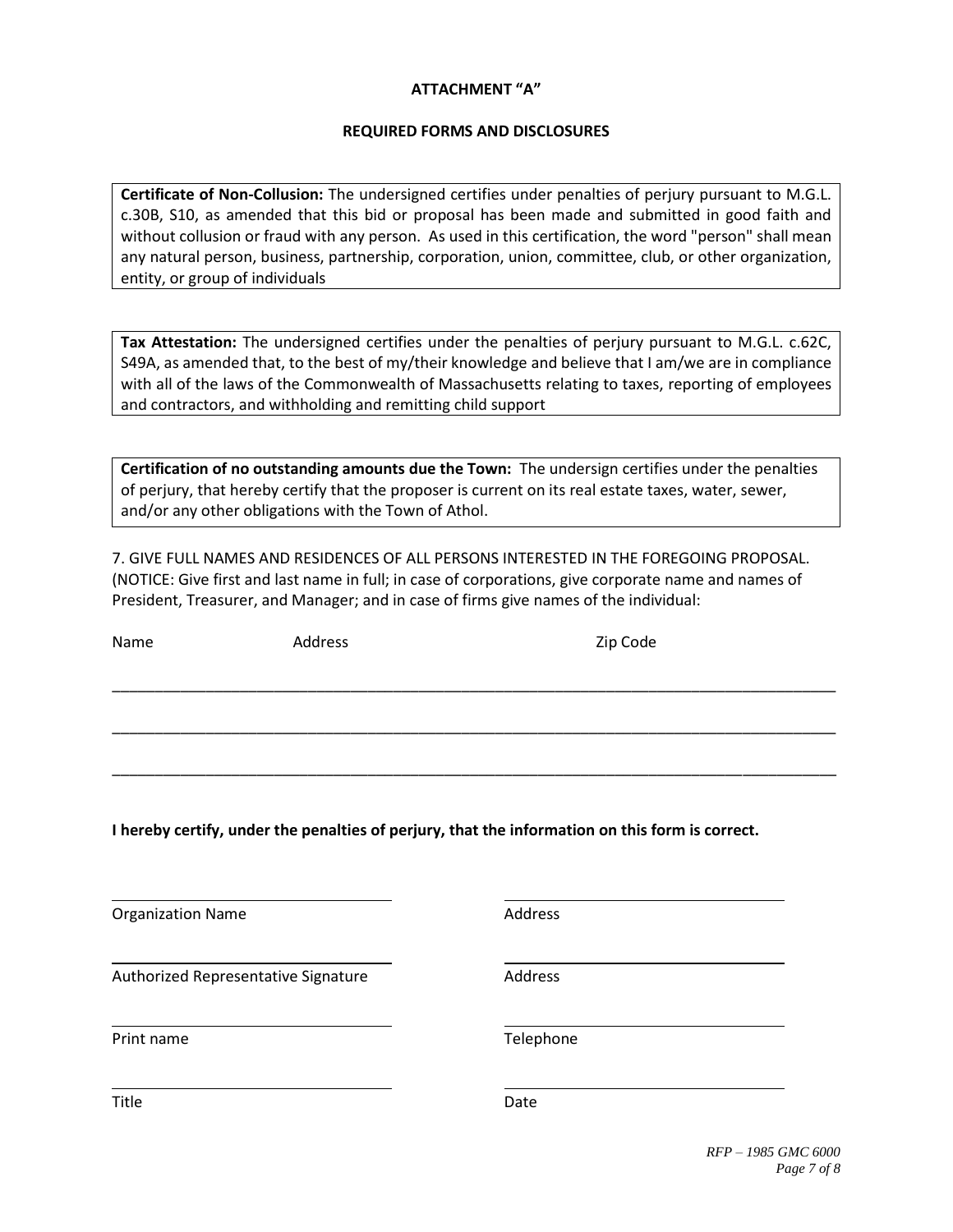# **ATTACHMENT "A"**

# **REQUIRED FORMS AND DISCLOSURES**

**Certificate of Non-Collusion:** The undersigned certifies under penalties of perjury pursuant to M.G.L. c.30B, S10, as amended that this bid or proposal has been made and submitted in good faith and without collusion or fraud with any person. As used in this certification, the word "person" shall mean any natural person, business, partnership, corporation, union, committee, club, or other organization, entity, or group of individuals

**Tax Attestation:** The undersigned certifies under the penalties of perjury pursuant to M.G.L. c.62C, S49A, as amended that, to the best of my/their knowledge and believe that I am/we are in compliance with all of the laws of the Commonwealth of Massachusetts relating to taxes, reporting of employees and contractors, and withholding and remitting child support

**Certification of no outstanding amounts due the Town:** The undersign certifies under the penalties of perjury, that hereby certify that the proposer is current on its real estate taxes, water, sewer, and/or any other obligations with the Town of Athol.

7. GIVE FULL NAMES AND RESIDENCES OF ALL PERSONS INTERESTED IN THE FOREGOING PROPOSAL. (NOTICE: Give first and last name in full; in case of corporations, give corporate name and names of President, Treasurer, and Manager; and in case of firms give names of the individual:

\_\_\_\_\_\_\_\_\_\_\_\_\_\_\_\_\_\_\_\_\_\_\_\_\_\_\_\_\_\_\_\_\_\_\_\_\_\_\_\_\_\_\_\_\_\_\_\_\_\_\_\_\_\_\_\_\_\_\_\_\_\_\_\_\_\_\_\_\_\_\_\_\_\_\_\_\_\_\_\_\_\_\_\_\_

\_\_\_\_\_\_\_\_\_\_\_\_\_\_\_\_\_\_\_\_\_\_\_\_\_\_\_\_\_\_\_\_\_\_\_\_\_\_\_\_\_\_\_\_\_\_\_\_\_\_\_\_\_\_\_\_\_\_\_\_\_\_\_\_\_\_\_\_\_\_\_\_\_\_\_\_\_\_\_\_\_\_\_\_\_

\_\_\_\_\_\_\_\_\_\_\_\_\_\_\_\_\_\_\_\_\_\_\_\_\_\_\_\_\_\_\_\_\_\_\_\_\_\_\_\_\_\_\_\_\_\_\_\_\_\_\_\_\_\_\_\_\_\_\_\_\_\_\_\_\_\_\_\_\_\_\_\_\_\_\_\_\_\_\_\_\_\_\_\_\_

Name Address Address Address 2ip Code

**I hereby certify, under the penalties of perjury, that the information on this form is correct.**

Organization Name **Address** Address

Authorized Representative Signature **Address** Address

Print name Telephone

Title **Date**